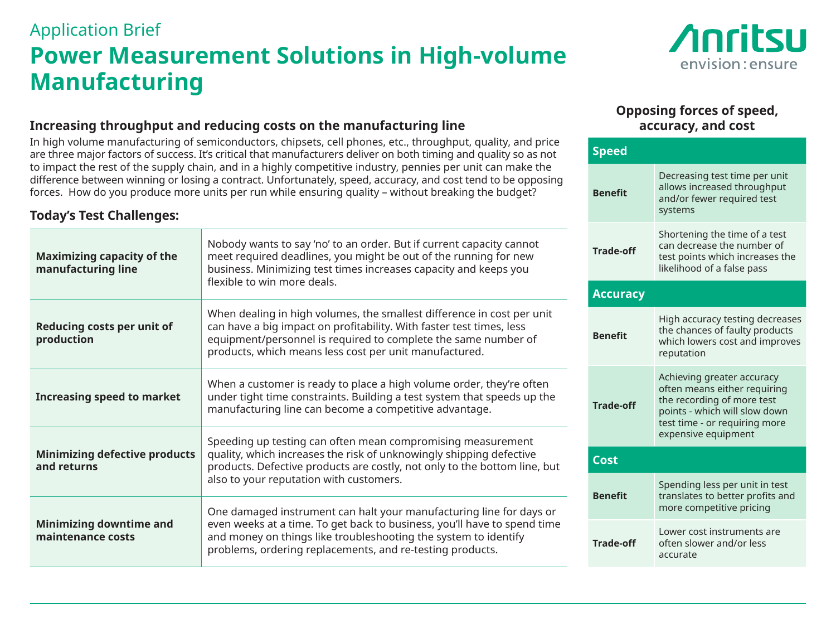# Application Brief **Power Measurement Solutions in High-volume Manufacturing**



### **Increasing throughput and reducing costs on the manufacturing line**

In high volume manufacturing of semiconductors, chipsets, cell phones, etc., throughput, quality, and price are three major factors of success. It's critical that manufacturers deliver on both timing and quality so as not to impact the rest of the supply chain, and in a highly competitive industry, pennies per unit can make the difference between winning or losing a contract. Unfortunately, speed, accuracy, and cost tend to be opposing forces. How do you produce more units per run while ensuring quality – without breaking the budget?

## **Today's Test Challenges:**

| <b>Maximizing capacity of the</b><br>manufacturing line | Nobody wants to say 'no' to an order. But if current capacity cannot<br>meet required deadlines, you might be out of the running for new<br>business. Minimizing test times increases capacity and keeps you<br>flexible to win more deals.                                     | <b>Trade-off</b> | Shortening the time of a test<br>can decrease the number of<br>test points which increases the<br>likelihood of a false pass                               |
|---------------------------------------------------------|---------------------------------------------------------------------------------------------------------------------------------------------------------------------------------------------------------------------------------------------------------------------------------|------------------|------------------------------------------------------------------------------------------------------------------------------------------------------------|
|                                                         |                                                                                                                                                                                                                                                                                 | <b>Accuracy</b>  |                                                                                                                                                            |
| Reducing costs per unit of<br>production                | When dealing in high volumes, the smallest difference in cost per unit<br>can have a big impact on profitability. With faster test times, less<br>equipment/personnel is required to complete the same number of<br>products, which means less cost per unit manufactured.      | <b>Benefit</b>   | High accuracy testing decreases<br>the chances of faulty products<br>which lowers cost and improves<br>reputation                                          |
| <b>Increasing speed to market</b>                       | When a customer is ready to place a high volume order, they're often<br>under tight time constraints. Building a test system that speeds up the<br>manufacturing line can become a competitive advantage.                                                                       | <b>Trade-off</b> | Achieving greater accuracy<br>often means either requiring<br>the recording of more test<br>points - which will slow down<br>test time - or requiring more |
| <b>Minimizing defective products</b><br>and returns     | Speeding up testing can often mean compromising measurement<br>quality, which increases the risk of unknowingly shipping defective<br>products. Defective products are costly, not only to the bottom line, but<br>also to your reputation with customers.                      |                  | expensive equipment                                                                                                                                        |
|                                                         |                                                                                                                                                                                                                                                                                 | <b>Cost</b>      |                                                                                                                                                            |
|                                                         |                                                                                                                                                                                                                                                                                 | <b>Benefit</b>   | Spending less per unit in test<br>translates to better profits and<br>more competitive pricing                                                             |
| <b>Minimizing downtime and</b><br>maintenance costs     | One damaged instrument can halt your manufacturing line for days or<br>even weeks at a time. To get back to business, you'll have to spend time<br>and money on things like troubleshooting the system to identify<br>problems, ordering replacements, and re-testing products. |                  |                                                                                                                                                            |
|                                                         |                                                                                                                                                                                                                                                                                 | <b>Trade-off</b> | Lower cost instruments are<br>often slower and/or less<br>accurate                                                                                         |

### **Opposing forces of speed, accuracy, and cost**

systems

Decreasing test time per unit allows increased throughput and/or fewer required test

**Speed**

**Benefit**